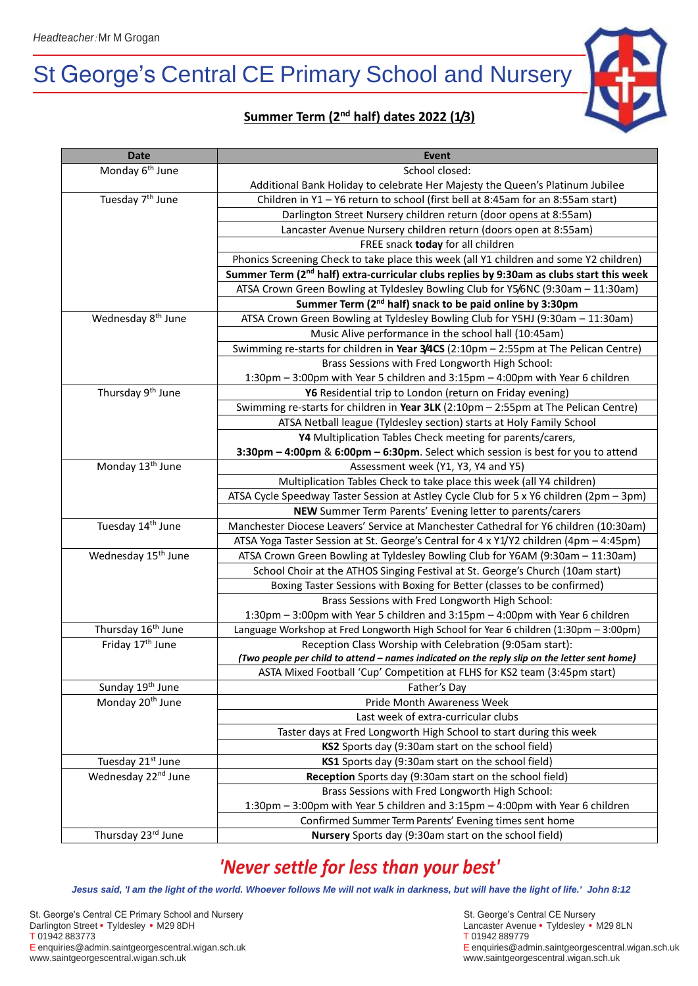# St George's Central CE Primary School and Nursery



| <b>Date</b>                     | <b>Event</b>                                                                                         |
|---------------------------------|------------------------------------------------------------------------------------------------------|
| Monday 6 <sup>th</sup> June     | School closed:                                                                                       |
|                                 | Additional Bank Holiday to celebrate Her Majesty the Queen's Platinum Jubilee                        |
| Tuesday 7 <sup>th</sup> June    | Children in Y1 - Y6 return to school (first bell at 8:45am for an 8:55am start)                      |
|                                 | Darlington Street Nursery children return (door opens at 8:55am)                                     |
|                                 | Lancaster Avenue Nursery children return (doors open at 8:55am)                                      |
|                                 | FREE snack today for all children                                                                    |
|                                 | Phonics Screening Check to take place this week (all Y1 children and some Y2 children)               |
|                                 | Summer Term (2 <sup>nd</sup> half) extra-curricular clubs replies by 9:30am as clubs start this week |
|                                 | ATSA Crown Green Bowling at Tyldesley Bowling Club for Y5/6NC (9:30am - 11:30am)                     |
|                                 | Summer Term (2 <sup>nd</sup> half) snack to be paid online by 3:30pm                                 |
| Wednesday 8 <sup>th</sup> June  | ATSA Crown Green Bowling at Tyldesley Bowling Club for Y5HJ (9:30am - 11:30am)                       |
|                                 | Music Alive performance in the school hall (10:45am)                                                 |
|                                 | Swimming re-starts for children in Year 3/4CS (2:10pm - 2:55pm at The Pelican Centre)                |
|                                 | Brass Sessions with Fred Longworth High School:                                                      |
|                                 | 1:30pm - 3:00pm with Year 5 children and 3:15pm - 4:00pm with Year 6 children                        |
| Thursday 9 <sup>th</sup> June   | Y6 Residential trip to London (return on Friday evening)                                             |
|                                 | Swimming re-starts for children in Year 3LK (2:10pm - 2:55pm at The Pelican Centre)                  |
|                                 | ATSA Netball league (Tyldesley section) starts at Holy Family School                                 |
|                                 | Y4 Multiplication Tables Check meeting for parents/carers,                                           |
|                                 | 3:30pm - 4:00pm & 6:00pm - 6:30pm. Select which session is best for you to attend                    |
| Monday 13 <sup>th</sup> June    | Assessment week (Y1, Y3, Y4 and Y5)                                                                  |
|                                 | Multiplication Tables Check to take place this week (all Y4 children)                                |
|                                 | ATSA Cycle Speedway Taster Session at Astley Cycle Club for 5 x Y6 children (2pm - 3pm)              |
|                                 | NEW Summer Term Parents' Evening letter to parents/carers                                            |
| Tuesday 14th June               | Manchester Diocese Leavers' Service at Manchester Cathedral for Y6 children (10:30am)                |
|                                 | ATSA Yoga Taster Session at St. George's Central for 4 x Y1/Y2 children (4pm - 4:45pm)               |
| Wednesday 15 <sup>th</sup> June | ATSA Crown Green Bowling at Tyldesley Bowling Club for Y6AM (9:30am - 11:30am)                       |
|                                 | School Choir at the ATHOS Singing Festival at St. George's Church (10am start)                       |
|                                 | Boxing Taster Sessions with Boxing for Better (classes to be confirmed)                              |
|                                 | Brass Sessions with Fred Longworth High School:                                                      |
|                                 | 1:30pm - 3:00pm with Year 5 children and 3:15pm - 4:00pm with Year 6 children                        |
| Thursday 16 <sup>th</sup> June  | Language Workshop at Fred Longworth High School for Year 6 children (1:30pm - 3:00pm)                |
| Friday 17 <sup>th</sup> June    | Reception Class Worship with Celebration (9:05am start):                                             |
|                                 | (Two people per child to attend - names indicated on the reply slip on the letter sent home)         |
|                                 | ASTA Mixed Football 'Cup' Competition at FLHS for KS2 team (3:45pm start)                            |
| Sunday 19 <sup>th</sup> June    | Father's Day                                                                                         |
| Monday 20 <sup>th</sup> June    | Pride Month Awareness Week                                                                           |
|                                 | Last week of extra-curricular clubs                                                                  |
|                                 | Taster days at Fred Longworth High School to start during this week                                  |
|                                 | KS2 Sports day (9:30am start on the school field)                                                    |
| Tuesday 21 <sup>st</sup> June   | KS1 Sports day (9:30am start on the school field)                                                    |
| Wednesday 22 <sup>nd</sup> June | Reception Sports day (9:30am start on the school field)                                              |
|                                 | Brass Sessions with Fred Longworth High School:                                                      |
|                                 | 1:30pm - 3:00pm with Year 5 children and 3:15pm - 4:00pm with Year 6 children                        |
|                                 | Confirmed Summer Term Parents' Evening times sent home                                               |
| Thursday 23rd June              | Nursery Sports day (9:30am start on the school field)                                                |

## *'Never settle for less than your best'*

*Jesus said, 'I am the light of the world. Whoever follows Me will not walk in darkness, but will have the light of life.' John 8:12*

St. George's Central CE Primary School and Nursery<br>
St. George's Central CE Nursery Darlington Street • Tyldesley • M29 8DH<br>T 01942 883773 **CONFINENTIAL EXECUTE:** T 01942 889779 **CONFINENTIAL EXECUTE:** T 01942 889779 T 01942 883773<br>E enquiries@admin.saintgeorgescentral.wigan.sch.uk www.saintgeorgescentral.wigan.sch.uk www.saintgeorgescentral.wigan.sch.uk

E enquiries@admin.saintgeorgescentral.wigan.sch.uk E enquiries@admin.saintgeorgescentral.wigan.sch.uk

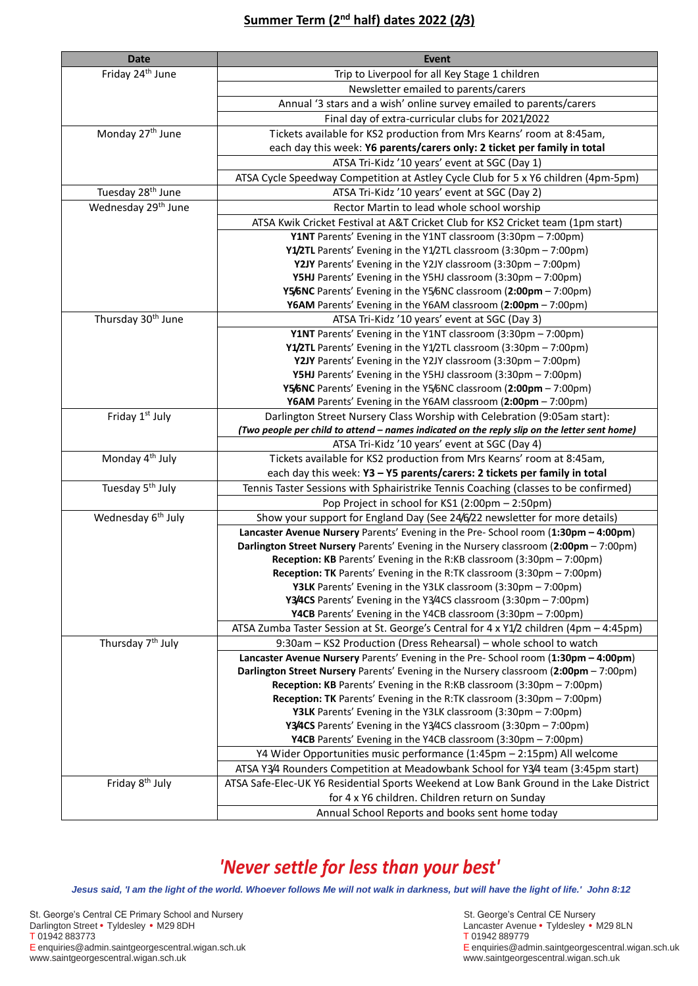#### **Summer Term (2nd half) dates 2022 (2/3)**

| <b>Date</b>                     | Event                                                                                                                              |
|---------------------------------|------------------------------------------------------------------------------------------------------------------------------------|
| Friday 24 <sup>th</sup> June    | Trip to Liverpool for all Key Stage 1 children                                                                                     |
|                                 | Newsletter emailed to parents/carers                                                                                               |
|                                 | Annual '3 stars and a wish' online survey emailed to parents/carers                                                                |
|                                 | Final day of extra-curricular clubs for 2021/2022                                                                                  |
| Monday 27 <sup>th</sup> June    | Tickets available for KS2 production from Mrs Kearns' room at 8:45am,                                                              |
|                                 | each day this week: Y6 parents/carers only: 2 ticket per family in total                                                           |
|                                 | ATSA Tri-Kidz '10 years' event at SGC (Day 1)                                                                                      |
|                                 | ATSA Cycle Speedway Competition at Astley Cycle Club for 5 x Y6 children (4pm-5pm)                                                 |
| Tuesday 28 <sup>th</sup> June   | ATSA Tri-Kidz '10 years' event at SGC (Day 2)                                                                                      |
| Wednesday 29 <sup>th</sup> June | Rector Martin to lead whole school worship                                                                                         |
|                                 | ATSA Kwik Cricket Festival at A&T Cricket Club for KS2 Cricket team (1pm start)                                                    |
|                                 | Y1NT Parents' Evening in the Y1NT classroom (3:30pm - 7:00pm)                                                                      |
|                                 | Y1/2TL Parents' Evening in the Y1/2TL classroom (3:30pm - 7:00pm)                                                                  |
|                                 | Y2JY Parents' Evening in the Y2JY classroom (3:30pm - 7:00pm)                                                                      |
|                                 | Y5HJ Parents' Evening in the Y5HJ classroom (3:30pm - 7:00pm)                                                                      |
|                                 | Y5/6NC Parents' Evening in the Y5/6NC classroom (2:00pm - 7:00pm)                                                                  |
|                                 | Y6AM Parents' Evening in the Y6AM classroom (2:00pm - 7:00pm)                                                                      |
| Thursday 30 <sup>th</sup> June  | ATSA Tri-Kidz '10 years' event at SGC (Day 3)                                                                                      |
|                                 | Y1NT Parents' Evening in the Y1NT classroom (3:30pm - 7:00pm)                                                                      |
|                                 | Y1/2TL Parents' Evening in the Y1/2TL classroom (3:30pm - 7:00pm)                                                                  |
|                                 | Y2JY Parents' Evening in the Y2JY classroom (3:30pm - 7:00pm)                                                                      |
|                                 | Y5HJ Parents' Evening in the Y5HJ classroom (3:30pm - 7:00pm)                                                                      |
|                                 | Y5/6NC Parents' Evening in the Y5/6NC classroom (2:00pm - 7:00pm)<br>Y6AM Parents' Evening in the Y6AM classroom (2:00pm - 7:00pm) |
| Friday 1st July                 | Darlington Street Nursery Class Worship with Celebration (9:05am start):                                                           |
|                                 | (Two people per child to attend - names indicated on the reply slip on the letter sent home)                                       |
|                                 | ATSA Tri-Kidz '10 years' event at SGC (Day 4)                                                                                      |
| Monday 4 <sup>th</sup> July     | Tickets available for KS2 production from Mrs Kearns' room at 8:45am,                                                              |
|                                 | each day this week: Y3 - Y5 parents/carers: 2 tickets per family in total                                                          |
| Tuesday 5 <sup>th</sup> July    | Tennis Taster Sessions with Sphairistrike Tennis Coaching (classes to be confirmed)                                                |
|                                 | Pop Project in school for KS1 (2:00pm - 2:50pm)                                                                                    |
| Wednesday 6 <sup>th</sup> July  | Show your support for England Day (See 24/6/22 newsletter for more details)                                                        |
|                                 | Lancaster Avenue Nursery Parents' Evening in the Pre- School room (1:30pm - 4:00pm)                                                |
|                                 | Darlington Street Nursery Parents' Evening in the Nursery classroom (2:00pm - 7:00pm)                                              |
|                                 | Reception: KB Parents' Evening in the R:KB classroom (3:30pm - 7:00pm)                                                             |
|                                 | <b>Reception: TK</b> Parents' Evening in the R:TK classroom (3:30pm - 7:00pm)                                                      |
|                                 | Y3LK Parents' Evening in the Y3LK classroom (3:30pm - 7:00pm)                                                                      |
|                                 | Y3/4CS Parents' Evening in the Y3/4CS classroom (3:30pm - 7:00pm)                                                                  |
|                                 | Y4CB Parents' Evening in the Y4CB classroom (3:30pm - 7:00pm)                                                                      |
|                                 | ATSA Zumba Taster Session at St. George's Central for 4 x Y1/2 children (4pm - 4:45pm)                                             |
| Thursday 7 <sup>th</sup> July   | 9:30am - KS2 Production (Dress Rehearsal) - whole school to watch                                                                  |
|                                 | Lancaster Avenue Nursery Parents' Evening in the Pre- School room (1:30pm - 4:00pm)                                                |
|                                 | Darlington Street Nursery Parents' Evening in the Nursery classroom (2:00pm - 7:00pm)                                              |
|                                 | Reception: KB Parents' Evening in the R:KB classroom (3:30pm - 7:00pm)                                                             |
|                                 | Reception: TK Parents' Evening in the R:TK classroom (3:30pm - 7:00pm)                                                             |
|                                 | Y3LK Parents' Evening in the Y3LK classroom (3:30pm - 7:00pm)<br>Y3/4CS Parents' Evening in the Y3/4CS classroom (3:30pm - 7:00pm) |
|                                 | Y4CB Parents' Evening in the Y4CB classroom (3:30pm - 7:00pm)                                                                      |
|                                 | Y4 Wider Opportunities music performance (1:45pm - 2:15pm) All welcome                                                             |
|                                 | ATSA Y3/4 Rounders Competition at Meadowbank School for Y3/4 team (3:45pm start)                                                   |
| Friday 8 <sup>th</sup> July     | ATSA Safe-Elec-UK Y6 Residential Sports Weekend at Low Bank Ground in the Lake District                                            |
|                                 | for 4 x Y6 children. Children return on Sunday                                                                                     |
|                                 | Annual School Reports and books sent home today                                                                                    |
|                                 |                                                                                                                                    |

### *'Never settle for less than your best'*

*Jesus said, 'I am the light of the world. Whoever follows Me will not walk in darkness, but will have the light of life.' John 8:12*

St. George's Central CE Primary School and NurserySt. George's Central CE Nursery Darlington Street • Tyldesley • M29 8DH Lancaster Avenue • Tyldesley • M29 8LN T 01942 883773 T 01942 889779 www.saintgeorgescentral.wigan.sch.uk www.saintgeorgescentral.wigan.sch.uk

F enquiries@admin.saintgeorgescentral.wigan.sch.uk<br>www.saintgeorgescentral.wigan.sch.uk